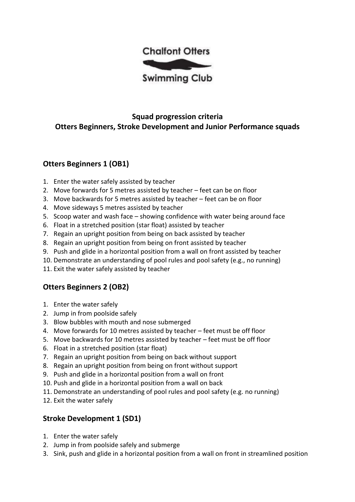

## **Squad progression criteria Otters Beginners, Stroke Development and Junior Performance squads**

# **Otters Beginners 1 (OB1)**

- 1. Enter the water safely assisted by teacher
- 2. Move forwards for 5 metres assisted by teacher feet can be on floor
- 3. Move backwards for 5 metres assisted by teacher feet can be on floor
- 4. Move sideways 5 metres assisted by teacher
- 5. Scoop water and wash face showing confidence with water being around face
- 6. Float in a stretched position (star float) assisted by teacher
- 7. Regain an upright position from being on back assisted by teacher
- 8. Regain an upright position from being on front assisted by teacher
- 9. Push and glide in a horizontal position from a wall on front assisted by teacher
- 10. Demonstrate an understanding of pool rules and pool safety (e.g., no running)
- 11. Exit the water safely assisted by teacher

#### **Otters Beginners 2 (OB2)**

- 1. Enter the water safely
- 2. Jump in from poolside safely
- 3. Blow bubbles with mouth and nose submerged
- 4. Move forwards for 10 metres assisted by teacher feet must be off floor
- 5. Move backwards for 10 metres assisted by teacher feet must be off floor
- 6. Float in a stretched position (star float)
- 7. Regain an upright position from being on back without support
- 8. Regain an upright position from being on front without support
- 9. Push and glide in a horizontal position from a wall on front
- 10. Push and glide in a horizontal position from a wall on back
- 11. Demonstrate an understanding of pool rules and pool safety (e.g. no running)
- 12. Exit the water safely

#### **Stroke Development 1 (SD1)**

- 1. Enter the water safely
- 2. Jump in from poolside safely and submerge
- 3. Sink, push and glide in a horizontal position from a wall on front in streamlined position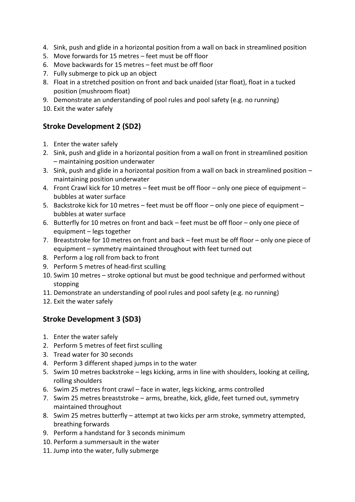- 4. Sink, push and glide in a horizontal position from a wall on back in streamlined position
- 5. Move forwards for 15 metres feet must be off floor
- 6. Move backwards for 15 metres feet must be off floor
- 7. Fully submerge to pick up an object
- 8. Float in a stretched position on front and back unaided (star float), float in a tucked position (mushroom float)
- 9. Demonstrate an understanding of pool rules and pool safety (e.g. no running)
- 10. Exit the water safely

### **Stroke Development 2 (SD2)**

- 1. Enter the water safely
- 2. Sink, push and glide in a horizontal position from a wall on front in streamlined position – maintaining position underwater
- 3. Sink, push and glide in a horizontal position from a wall on back in streamlined position maintaining position underwater
- 4. Front Crawl kick for 10 metres feet must be off floor only one piece of equipment bubbles at water surface
- 5. Backstroke kick for 10 metres feet must be off floor only one piece of equipment bubbles at water surface
- 6. Butterfly for 10 metres on front and back feet must be off floor only one piece of equipment – legs together
- 7. Breaststroke for 10 metres on front and back feet must be off floor only one piece of equipment – symmetry maintained throughout with feet turned out
- 8. Perform a log roll from back to front
- 9. Perform 5 metres of head-first sculling
- 10. Swim 10 metres stroke optional but must be good technique and performed without stopping
- 11. Demonstrate an understanding of pool rules and pool safety (e.g. no running)
- 12. Exit the water safely

#### **Stroke Development 3 (SD3)**

- 1. Enter the water safely
- 2. Perform 5 metres of feet first sculling
- 3. Tread water for 30 seconds
- 4. Perform 3 different shaped jumps in to the water
- 5. Swim 10 metres backstroke legs kicking, arms in line with shoulders, looking at ceiling, rolling shoulders
- 6. Swim 25 metres front crawl face in water, legs kicking, arms controlled
- 7. Swim 25 metres breaststroke arms, breathe, kick, glide, feet turned out, symmetry maintained throughout
- 8. Swim 25 metres butterfly attempt at two kicks per arm stroke, symmetry attempted, breathing forwards
- 9. Perform a handstand for 3 seconds minimum
- 10. Perform a summersault in the water
- 11. Jump into the water, fully submerge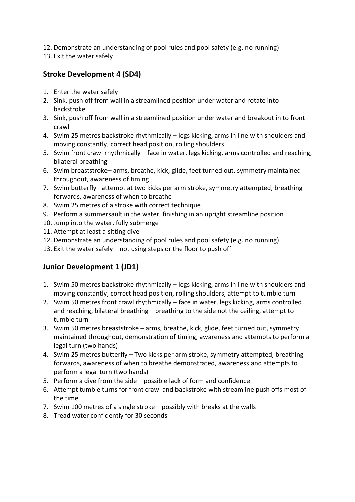12. Demonstrate an understanding of pool rules and pool safety (e.g. no running)

13. Exit the water safely

### **Stroke Development 4 (SD4)**

- 1. Enter the water safely
- 2. Sink, push off from wall in a streamlined position under water and rotate into backstroke
- 3. Sink, push off from wall in a streamlined position under water and breakout in to front crawl
- 4. Swim 25 metres backstroke rhythmically legs kicking, arms in line with shoulders and moving constantly, correct head position, rolling shoulders
- 5. Swim front crawl rhythmically face in water, legs kicking, arms controlled and reaching, bilateral breathing
- 6. Swim breaststroke– arms, breathe, kick, glide, feet turned out, symmetry maintained throughout, awareness of timing
- 7. Swim butterfly– attempt at two kicks per arm stroke, symmetry attempted, breathing forwards, awareness of when to breathe
- 8. Swim 25 metres of a stroke with correct technique
- 9. Perform a summersault in the water, finishing in an upright streamline position
- 10. Jump into the water, fully submerge
- 11. Attempt at least a sitting dive
- 12. Demonstrate an understanding of pool rules and pool safety (e.g. no running)
- 13. Exit the water safely not using steps or the floor to push off

## **Junior Development 1 (JD1)**

- 1. Swim 50 metres backstroke rhythmically legs kicking, arms in line with shoulders and moving constantly, correct head position, rolling shoulders, attempt to tumble turn
- 2. Swim 50 metres front crawl rhythmically face in water, legs kicking, arms controlled and reaching, bilateral breathing – breathing to the side not the ceiling, attempt to tumble turn
- 3. Swim 50 metres breaststroke arms, breathe, kick, glide, feet turned out, symmetry maintained throughout, demonstration of timing, awareness and attempts to perform a legal turn (two hands)
- 4. Swim 25 metres butterfly Two kicks per arm stroke, symmetry attempted, breathing forwards, awareness of when to breathe demonstrated, awareness and attempts to perform a legal turn (two hands)
- 5. Perform a dive from the side possible lack of form and confidence
- 6. Attempt tumble turns for front crawl and backstroke with streamline push offs most of the time
- 7. Swim 100 metres of a single stroke possibly with breaks at the walls
- 8. Tread water confidently for 30 seconds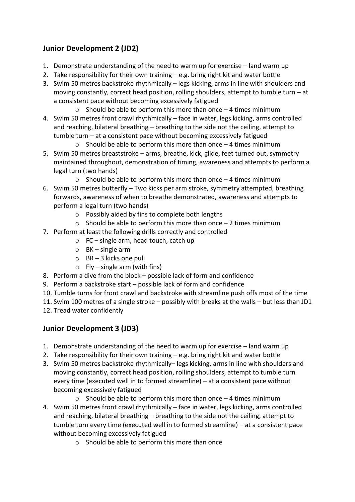## **Junior Development 2 (JD2)**

- 1. Demonstrate understanding of the need to warm up for exercise land warm up
- 2. Take responsibility for their own training e.g. bring right kit and water bottle
- 3. Swim 50 metres backstroke rhythmically legs kicking, arms in line with shoulders and moving constantly, correct head position, rolling shoulders, attempt to tumble turn – at a consistent pace without becoming excessively fatigued
	- $\circ$  Should be able to perform this more than once  $-4$  times minimum
- 4. Swim 50 metres front crawl rhythmically face in water, legs kicking, arms controlled and reaching, bilateral breathing – breathing to the side not the ceiling, attempt to tumble turn – at a consistent pace without becoming excessively fatigued
	- $\circ$  Should be able to perform this more than once  $-4$  times minimum
- 5. Swim 50 metres breaststroke arms, breathe, kick, glide, feet turned out, symmetry maintained throughout, demonstration of timing, awareness and attempts to perform a legal turn (two hands)
	- $\circ$  Should be able to perform this more than once  $-4$  times minimum
- 6. Swim 50 metres butterfly Two kicks per arm stroke, symmetry attempted, breathing forwards, awareness of when to breathe demonstrated, awareness and attempts to perform a legal turn (two hands)
	- o Possibly aided by fins to complete both lengths
	- $\circ$  Should be able to perform this more than once  $-2$  times minimum
- 7. Perform at least the following drills correctly and controlled
	- $\circ$  FC single arm, head touch, catch up
	- $\circ$  BK single arm
	- $\circ$  BR 3 kicks one pull
	- $\circ$  Fly single arm (with fins)
- 8. Perform a dive from the block possible lack of form and confidence
- 9. Perform a backstroke start possible lack of form and confidence
- 10. Tumble turns for front crawl and backstroke with streamline push offs most of the time
- 11. Swim 100 metres of a single stroke possibly with breaks at the walls but less than JD1 12. Tread water confidently

#### **Junior Development 3 (JD3)**

- 1. Demonstrate understanding of the need to warm up for exercise land warm up
- 2. Take responsibility for their own training e.g. bring right kit and water bottle
- 3. Swim 50 metres backstroke rhythmically– legs kicking, arms in line with shoulders and moving constantly, correct head position, rolling shoulders, attempt to tumble turn every time (executed well in to formed streamline) – at a consistent pace without becoming excessively fatigued
	- $\circ$  Should be able to perform this more than once  $-4$  times minimum
- 4. Swim 50 metres front crawl rhythmically face in water, legs kicking, arms controlled and reaching, bilateral breathing – breathing to the side not the ceiling, attempt to tumble turn every time (executed well in to formed streamline) – at a consistent pace without becoming excessively fatigued
	- o Should be able to perform this more than once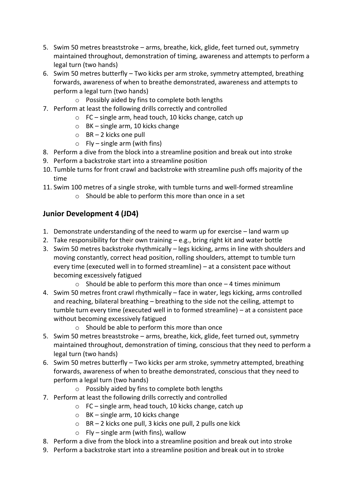- 5. Swim 50 metres breaststroke arms, breathe, kick, glide, feet turned out, symmetry maintained throughout, demonstration of timing, awareness and attempts to perform a legal turn (two hands)
- 6. Swim 50 metres butterfly Two kicks per arm stroke, symmetry attempted, breathing forwards, awareness of when to breathe demonstrated, awareness and attempts to perform a legal turn (two hands)
	- o Possibly aided by fins to complete both lengths
- 7. Perform at least the following drills correctly and controlled
	- o FC single arm, head touch, 10 kicks change, catch up
	- o BK single arm, 10 kicks change
	- $\circ$  BR 2 kicks one pull
	- $\circ$  Fly single arm (with fins)
- 8. Perform a dive from the block into a streamline position and break out into stroke
- 9. Perform a backstroke start into a streamline position
- 10. Tumble turns for front crawl and backstroke with streamline push offs majority of the time
- 11. Swim 100 metres of a single stroke, with tumble turns and well-formed streamline
	- o Should be able to perform this more than once in a set

### **Junior Development 4 (JD4)**

- 1. Demonstrate understanding of the need to warm up for exercise land warm up
- 2. Take responsibility for their own training e.g., bring right kit and water bottle
- 3. Swim 50 metres backstroke rhythmically legs kicking, arms in line with shoulders and moving constantly, correct head position, rolling shoulders, attempt to tumble turn every time (executed well in to formed streamline) – at a consistent pace without becoming excessively fatigued
	- $\circ$  Should be able to perform this more than once  $-4$  times minimum
- 4. Swim 50 metres front crawl rhythmically face in water, legs kicking, arms controlled and reaching, bilateral breathing – breathing to the side not the ceiling, attempt to tumble turn every time (executed well in to formed streamline) – at a consistent pace without becoming excessively fatigued
	- o Should be able to perform this more than once
- 5. Swim 50 metres breaststroke arms, breathe, kick, glide, feet turned out, symmetry maintained throughout, demonstration of timing, conscious that they need to perform a legal turn (two hands)
- 6. Swim 50 metres butterfly Two kicks per arm stroke, symmetry attempted, breathing forwards, awareness of when to breathe demonstrated, conscious that they need to perform a legal turn (two hands)
	- o Possibly aided by fins to complete both lengths
- 7. Perform at least the following drills correctly and controlled
	- o FC single arm, head touch, 10 kicks change, catch up
	- o BK single arm, 10 kicks change
	- o BR 2 kicks one pull, 3 kicks one pull, 2 pulls one kick
	- $\circ$  Fly single arm (with fins), wallow
- 8. Perform a dive from the block into a streamline position and break out into stroke
- 9. Perform a backstroke start into a streamline position and break out in to stroke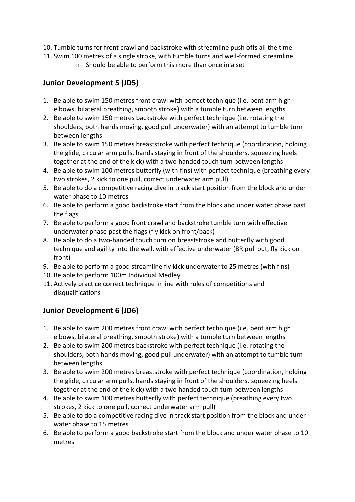- 10. Tumble turns for front crawl and backstroke with streamline push offs all the time
- 11. Swim 100 metres of a single stroke, with tumble turns and well-formed streamline
	- o Should be able to perform this more than once in a set

### **Junior Development 5 (JD5)**

- 1. Be able to swim 150 metres front crawl with perfect technique (i.e. bent arm high elbows, bilateral breathing, smooth stroke) with a tumble turn between lengths
- 2. Be able to swim 150 metres backstroke with perfect technique (i.e. rotating the shoulders, both hands moving, good pull underwater) with an attempt to tumble turn between lengths
- 3. Be able to swim 150 metres breaststroke with perfect technique (coordination, holding the glide, circular arm pulls, hands staying in front of the shoulders, squeezing heels together at the end of the kick) with a two handed touch turn between lengths
- 4. Be able to swim 100 metres butterfly (with fins) with perfect technique (breathing every two strokes, 2 kick to one pull, correct underwater arm pull)
- 5. Be able to do a competitive racing dive in track start position from the block and under water phase to 10 metres
- 6. Be able to perform a good backstroke start from the block and under water phase past the flags
- 7. Be able to perform a good front crawl and backstroke tumble turn with effective underwater phase past the flags (fly kick on front/back)
- 8. Be able to do a two-handed touch turn on breaststroke and butterfly with good technique and agility into the wall, with effective underwater (BR pull out, fly kick on front)
- 9. Be able to perform a good streamline fly kick underwater to 25 metres (with fins)
- 10. Be able to perform 100m Individual Medley
- 11. Actively practice correct technique in line with rules of competitions and disqualifications

## **Junior Development 6 (JD6)**

- 1. Be able to swim 200 metres front crawl with perfect technique (i.e. bent arm high elbows, bilateral breathing, smooth stroke) with a tumble turn between lengths
- 2. Be able to swim 200 metres backstroke with perfect technique (i.e. rotating the shoulders, both hands moving, good pull underwater) with an attempt to tumble turn between lengths
- 3. Be able to swim 200 metres breaststroke with perfect technique (coordination, holding the glide, circular arm pulls, hands staying in front of the shoulders, squeezing heels together at the end of the kick) with a two handed touch turn between lengths
- 4. Be able to swim 100 metres butterfly with perfect technique (breathing every two strokes, 2 kick to one pull, correct underwater arm pull)
- 5. Be able to do a competitive racing dive in track start position from the block and under water phase to 15 metres
- 6. Be able to perform a good backstroke start from the block and under water phase to 10 metres